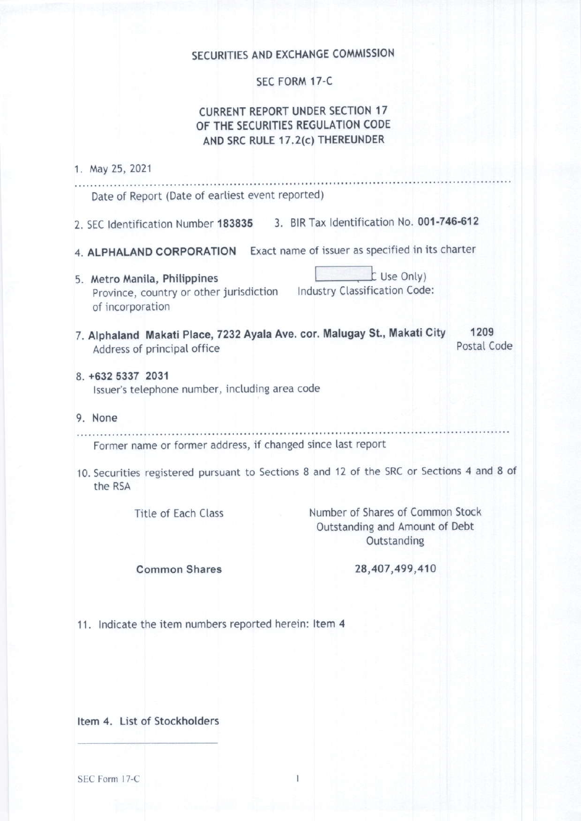# SECURITIES AND EXCHANGE COMMISSION

### SEC FORM 17-C

## **CURRENT REPORT UNDER SECTION 17** OF THE SECURITIES REGULATION CODE AND SRC RULE 17.2(c) THEREUNDER

| 1. May 25, 2021                                                                                         |                                                                                           |                     |
|---------------------------------------------------------------------------------------------------------|-------------------------------------------------------------------------------------------|---------------------|
| Date of Report (Date of earliest event reported)                                                        | .                                                                                         |                     |
| 2. SEC Identification Number 183835                                                                     | 3. BIR Tax Identification No. 001-746-612                                                 |                     |
| 4. ALPHALAND CORPORATION                                                                                | Exact name of issuer as specified in its charter                                          |                     |
| 5. Metro Manila, Philippines<br>Province, country or other jurisdiction<br>of incorporation             | L Use Only)<br>Industry Classification Code:                                              |                     |
| 7. Alphaland Makati Place, 7232 Ayala Ave. cor. Malugay St., Makati City<br>Address of principal office |                                                                                           | 1209<br>Postal Code |
| 8. +632 5337 2031<br>Issuer's telephone number, including area code                                     |                                                                                           |                     |
| 9. None                                                                                                 |                                                                                           |                     |
| Former name or former address, if changed since last report                                             |                                                                                           |                     |
| the RSA                                                                                                 | 10. Securities registered pursuant to Sections 8 and 12 of the SRC or Sections 4 and 8 of |                     |
| <b>Title of Each Class</b>                                                                              | Number of Shares of Common Stock<br>Outstanding and Amount of Debt<br>Outstanding         |                     |
| <b>Common Shares</b>                                                                                    | 28,407,499,410                                                                            |                     |
| 11. Indicate the item numbers reported herein: Item 4                                                   |                                                                                           |                     |
|                                                                                                         |                                                                                           |                     |

Item 4. List of Stockholders

SEC Form 17-C

 $\mathbf{I}$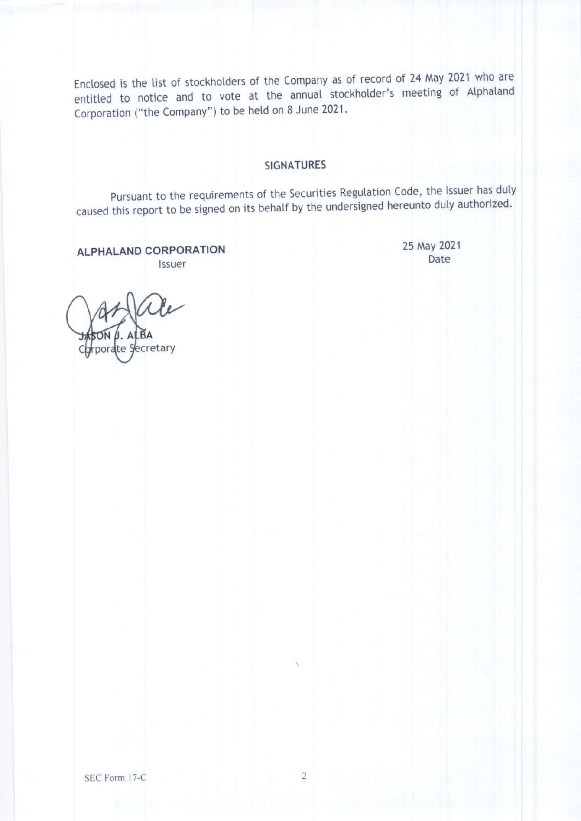Enclosed is the list of stockholders of the Company as of record of 24 May 2021 who are entitled to notice and to vote at the annual stockholder's meeting of Alphaland Corporation ("the Company") to be held on 8 June 2021.

## **SIGNATURES**

Pursuant to the requirements of the Securities Regulation Code, the Issuer has duly caused this report to be signed on its behalf by the undersigned hereunto duly authorized.

25 May 2021

Date

**ALPHALAND CORPORATION** Issuer

**prporate Secretary** 

SEC Form 17-C

 $\overline{2}$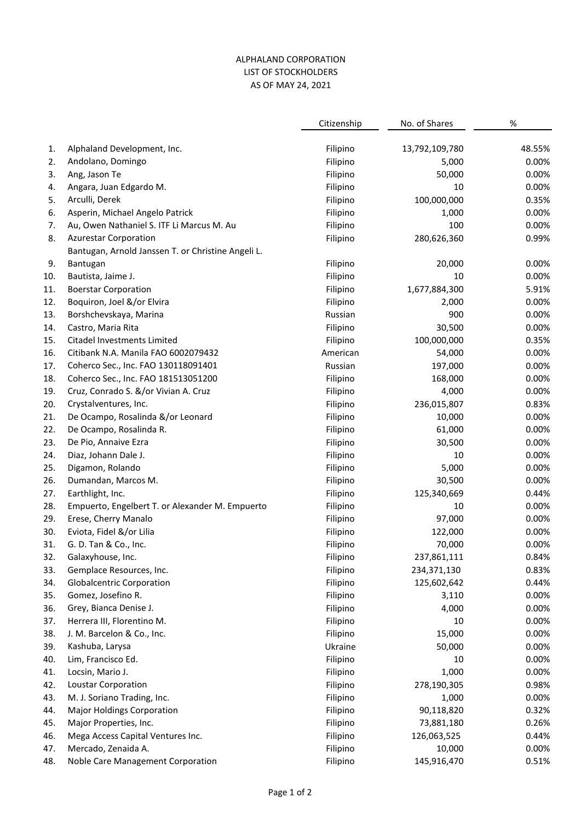#### ALPHALAND CORPORATION LIST OF STOCKHOLDERS AS OF MAY 24, 2021

|            |                                                             | Citizenship          | No. of Shares             | $\%$           |
|------------|-------------------------------------------------------------|----------------------|---------------------------|----------------|
| 1.         | Alphaland Development, Inc.                                 | Filipino             | 13,792,109,780            | 48.55%         |
| 2.         | Andolano, Domingo                                           | Filipino             | 5,000                     | 0.00%          |
| 3.         | Ang, Jason Te                                               | Filipino             | 50,000                    | 0.00%          |
| 4.         | Angara, Juan Edgardo M.                                     | Filipino             | 10                        | 0.00%          |
| 5.         | Arculli, Derek                                              | Filipino             | 100,000,000               | 0.35%          |
| 6.         | Asperin, Michael Angelo Patrick                             | Filipino             | 1,000                     | 0.00%          |
| 7.         | Au, Owen Nathaniel S. ITF Li Marcus M. Au                   | Filipino             | 100                       | 0.00%          |
| 8.         | <b>Azurestar Corporation</b>                                | Filipino             | 280,626,360               | 0.99%          |
|            | Bantugan, Arnold Janssen T. or Christine Angeli L.          |                      |                           |                |
| 9.         | Bantugan                                                    | Filipino             | 20,000                    | 0.00%          |
| 10.        | Bautista, Jaime J.                                          | Filipino             | 10                        | 0.00%          |
| 11.        | <b>Boerstar Corporation</b>                                 | Filipino             | 1,677,884,300             | 5.91%          |
| 12.        | Boquiron, Joel &/or Elvira                                  | Filipino             | 2,000                     | 0.00%          |
| 13.        | Borshchevskaya, Marina                                      | Russian              | 900                       | 0.00%          |
| 14.        | Castro, Maria Rita                                          | Filipino             | 30,500                    | 0.00%          |
| 15.        | Citadel Investments Limited                                 | Filipino             | 100,000,000               | 0.35%          |
| 16.        | Citibank N.A. Manila FAO 6002079432                         | American             | 54,000                    | 0.00%          |
| 17.        | Coherco Sec., Inc. FAO 130118091401                         | Russian              | 197,000                   | 0.00%          |
| 18.        | Coherco Sec., Inc. FAO 181513051200                         | Filipino             | 168,000                   | 0.00%          |
| 19.        | Cruz, Conrado S. &/or Vivian A. Cruz                        | Filipino             | 4,000                     | 0.00%          |
| 20.        | Crystalventures, Inc.                                       | Filipino             | 236,015,807               | 0.83%          |
| 21.        | De Ocampo, Rosalinda &/or Leonard                           | Filipino             | 10,000                    | 0.00%          |
| 22.        | De Ocampo, Rosalinda R.                                     | Filipino             | 61,000                    | 0.00%          |
| 23.        | De Pio, Annaive Ezra                                        | Filipino             | 30,500                    | 0.00%          |
| 24.        | Diaz, Johann Dale J.                                        | Filipino             | 10                        | 0.00%          |
| 25.        | Digamon, Rolando                                            | Filipino             | 5,000                     | 0.00%          |
| 26.        | Dumandan, Marcos M.                                         | Filipino             | 30,500                    | 0.00%          |
| 27.        | Earthlight, Inc.                                            | Filipino             | 125,340,669               | 0.44%          |
| 28.        | Empuerto, Engelbert T. or Alexander M. Empuerto             | Filipino             | 10                        | 0.00%          |
| 29.        | Erese, Cherry Manalo                                        | Filipino             | 97,000                    | 0.00%          |
| 30.        | Eviota, Fidel &/or Lilia                                    | Filipino             | 122,000                   | 0.00%          |
| 31.        | G. D. Tan & Co., Inc.                                       | Filipino             | 70,000                    | 0.00%          |
| 32.        | Galaxyhouse, Inc.                                           | Filipino             | 237,861,111               | 0.84%          |
| 33.        | Gemplace Resources, Inc.                                    | Filipino             | 234,371,130               | 0.83%          |
| 34.        | <b>Globalcentric Corporation</b>                            | Filipino             | 125,602,642               | 0.44%          |
| 35.        | Gomez, Josefino R.                                          | Filipino             | 3,110                     | 0.00%          |
| 36.        | Grey, Bianca Denise J.                                      | Filipino             | 4,000                     | 0.00%          |
| 37.        | Herrera III, Florentino M.                                  | Filipino             | 10                        | 0.00%          |
| 38.        | J. M. Barcelon & Co., Inc.                                  | Filipino             | 15,000                    | 0.00%          |
| 39.        | Kashuba, Larysa                                             | Ukraine              | 50,000                    | 0.00%          |
| 40.        | Lim, Francisco Ed.                                          | Filipino             | 10                        | 0.00%          |
| 41.        | Locsin, Mario J.                                            | Filipino             | 1,000                     | 0.00%          |
| 42.        | <b>Loustar Corporation</b>                                  | Filipino             | 278,190,305               | 0.98%          |
|            |                                                             |                      |                           | 0.00%          |
| 43.        | M. J. Soriano Trading, Inc.                                 | Filipino<br>Filipino | 1,000<br>90,118,820       |                |
| 44.        | <b>Major Holdings Corporation</b>                           |                      |                           | 0.32%          |
| 45.<br>46. | Major Properties, Inc.<br>Mega Access Capital Ventures Inc. | Filipino<br>Filipino | 73,881,180<br>126,063,525 | 0.26%<br>0.44% |
| 47.        | Mercado, Zenaida A.                                         | Filipino             | 10,000                    | 0.00%          |
| 48.        | Noble Care Management Corporation                           | Filipino             | 145,916,470               | 0.51%          |
|            |                                                             |                      |                           |                |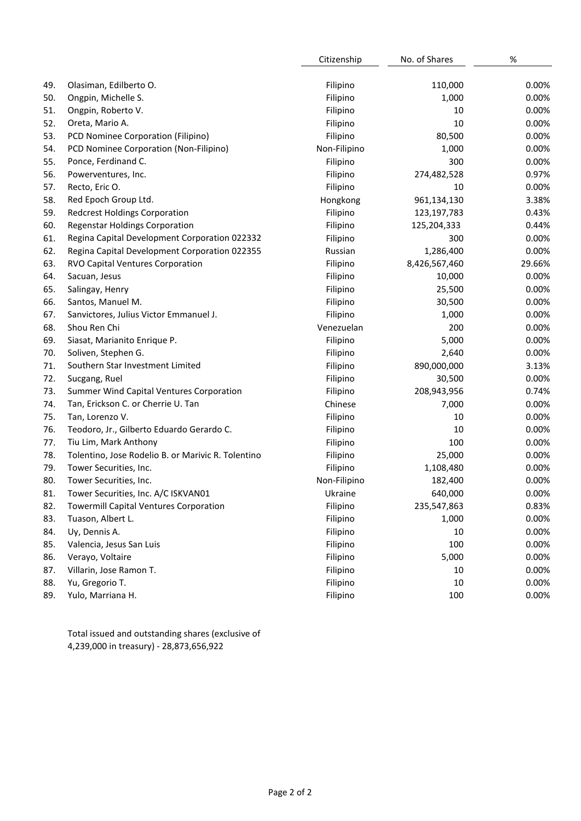|     |                                                    | Citizenship  | No. of Shares | %      |
|-----|----------------------------------------------------|--------------|---------------|--------|
|     |                                                    |              |               |        |
| 49. | Olasiman, Edilberto O.                             | Filipino     | 110,000       | 0.00%  |
| 50. | Ongpin, Michelle S.                                | Filipino     | 1,000         | 0.00%  |
| 51. | Ongpin, Roberto V.                                 | Filipino     | 10            | 0.00%  |
| 52. | Oreta, Mario A.                                    | Filipino     | 10            | 0.00%  |
| 53. | PCD Nominee Corporation (Filipino)                 | Filipino     | 80,500        | 0.00%  |
| 54. | PCD Nominee Corporation (Non-Filipino)             | Non-Filipino | 1,000         | 0.00%  |
| 55. | Ponce, Ferdinand C.                                | Filipino     | 300           | 0.00%  |
| 56. | Powerventures, Inc.                                | Filipino     | 274,482,528   | 0.97%  |
| 57. | Recto, Eric O.                                     | Filipino     | 10            | 0.00%  |
| 58. | Red Epoch Group Ltd.                               | Hongkong     | 961,134,130   | 3.38%  |
| 59. | <b>Redcrest Holdings Corporation</b>               | Filipino     | 123, 197, 783 | 0.43%  |
| 60. | <b>Regenstar Holdings Corporation</b>              | Filipino     | 125,204,333   | 0.44%  |
| 61. | Regina Capital Development Corporation 022332      | Filipino     | 300           | 0.00%  |
| 62. | Regina Capital Development Corporation 022355      | Russian      | 1,286,400     | 0.00%  |
| 63. | RVO Capital Ventures Corporation                   | Filipino     | 8,426,567,460 | 29.66% |
| 64. | Sacuan, Jesus                                      | Filipino     | 10,000        | 0.00%  |
| 65. | Salingay, Henry                                    | Filipino     | 25,500        | 0.00%  |
| 66. | Santos, Manuel M.                                  | Filipino     | 30,500        | 0.00%  |
| 67. | Sanvictores, Julius Victor Emmanuel J.             | Filipino     | 1,000         | 0.00%  |
| 68. | Shou Ren Chi                                       | Venezuelan   | 200           | 0.00%  |
| 69. | Siasat, Marianito Enrique P.                       | Filipino     | 5,000         | 0.00%  |
| 70. | Soliven, Stephen G.                                | Filipino     | 2,640         | 0.00%  |
| 71. | Southern Star Investment Limited                   | Filipino     | 890,000,000   | 3.13%  |
| 72. | Sucgang, Ruel                                      | Filipino     | 30,500        | 0.00%  |
| 73. | Summer Wind Capital Ventures Corporation           | Filipino     | 208,943,956   | 0.74%  |
| 74. | Tan, Erickson C. or Cherrie U. Tan                 | Chinese      | 7,000         | 0.00%  |
| 75. | Tan, Lorenzo V.                                    | Filipino     | 10            | 0.00%  |
| 76. | Teodoro, Jr., Gilberto Eduardo Gerardo C.          | Filipino     | 10            | 0.00%  |
| 77. | Tiu Lim, Mark Anthony                              | Filipino     | 100           | 0.00%  |
| 78. | Tolentino, Jose Rodelio B. or Marivic R. Tolentino | Filipino     | 25,000        | 0.00%  |
| 79. | Tower Securities, Inc.                             | Filipino     | 1,108,480     | 0.00%  |
| 80. | Tower Securities, Inc.                             | Non-Filipino | 182,400       | 0.00%  |
| 81. | Tower Securities, Inc. A/C ISKVAN01                | Ukraine      | 640,000       | 0.00%  |
| 82. | <b>Towermill Capital Ventures Corporation</b>      | Filipino     | 235,547,863   | 0.83%  |
| 83. | Tuason, Albert L.                                  | Filipino     | 1,000         | 0.00%  |
| 84. | Uy, Dennis A.                                      | Filipino     | 10            | 0.00%  |
| 85. | Valencia, Jesus San Luis                           | Filipino     | 100           | 0.00%  |
| 86. | Verayo, Voltaire                                   | Filipino     | 5,000         | 0.00%  |
| 87. | Villarin, Jose Ramon T.                            | Filipino     | 10            | 0.00%  |
| 88. | Yu, Gregorio T.                                    | Filipino     | 10            | 0.00%  |
| 89. | Yulo, Marriana H.                                  | Filipino     | 100           | 0.00%  |
|     |                                                    |              |               |        |

Total issued and outstanding shares (exclusive of 4,239,000 in treasury) - 28,873,656,922